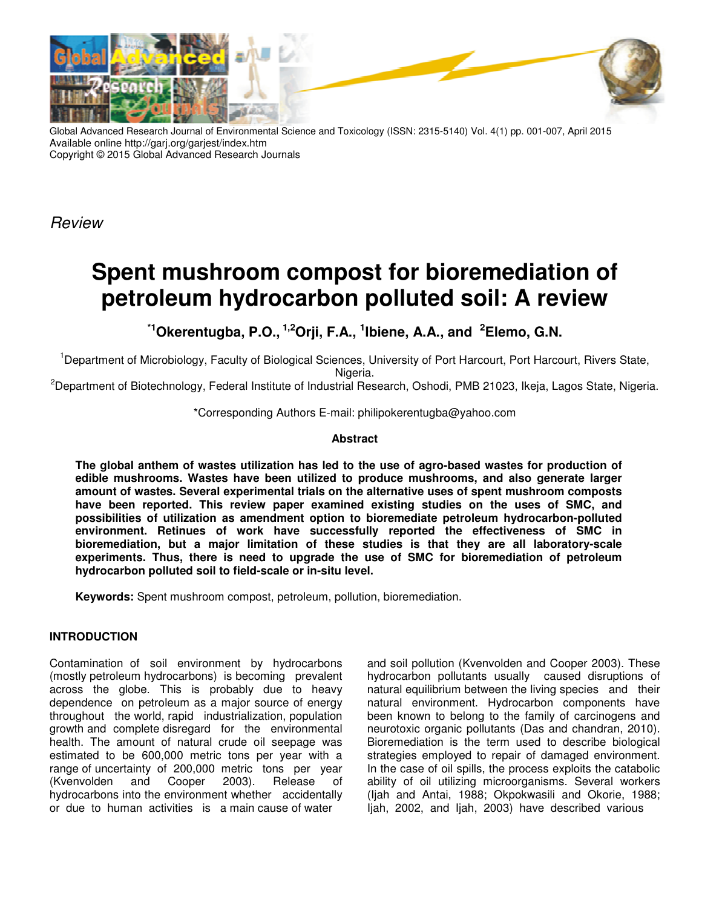

Global Advanced Research Journal of Environmental Science and Toxicology (ISSN: 2315-5140) Vol. 4(1) pp. 001-007, April 2015 Available online http://garj.org/garjest/index.htm Copyright © 2015 Global Advanced Research Journals

*Review*

# **Spent mushroom compost for bioremediation of petroleum hydrocarbon polluted soil: A review**

**\*1Okerentugba, P.O., 1,2Orji, F.A., <sup>1</sup> Ibiene, A.A., and <sup>2</sup>Elemo, G.N.** 

<sup>1</sup>Department of Microbiology, Faculty of Biological Sciences, University of Port Harcourt, Port Harcourt, Rivers State, Nigeria.

 $^2$ Department of Biotechnology, Federal Institute of Industrial Research, Oshodi, PMB 21023, Ikeja, Lagos State, Nigeria.

\*Corresponding Authors E-mail: philipokerentugba@yahoo.com

## **Abstract**

**The global anthem of wastes utilization has led to the use of agro-based wastes for production of edible mushrooms. Wastes have been utilized to produce mushrooms, and also generate larger amount of wastes. Several experimental trials on the alternative uses of spent mushroom composts have been reported. This review paper examined existing studies on the uses of SMC, and possibilities of utilization as amendment option to bioremediate petroleum hydrocarbon-polluted environment. Retinues of work have successfully reported the effectiveness of SMC in bioremediation, but a major limitation of these studies is that they are all laboratory-scale experiments. Thus, there is need to upgrade the use of SMC for bioremediation of petroleum hydrocarbon polluted soil to field-scale or in-situ level.** 

**Keywords:** Spent mushroom compost, petroleum, pollution, bioremediation.

# **INTRODUCTION**

Contamination of soil environment by hydrocarbons (mostly petroleum hydrocarbons) is becoming prevalent across the globe. This is probably due to heavy dependence on petroleum as a major source of energy throughout the world, rapid industrialization, population growth and complete disregard for the environmental health. The amount of natural crude oil seepage was estimated to be 600,000 metric tons per year with a range of uncertainty of 200,000 metric tons per year (Kvenvolden and Cooper 2003). Release of hydrocarbons into the environment whether accidentally or due to human activities is a main cause of water

and soil pollution (Kvenvolden and Cooper 2003). These hydrocarbon pollutants usually caused disruptions of natural equilibrium between the living species and their natural environment. Hydrocarbon components have been known to belong to the family of carcinogens and neurotoxic organic pollutants (Das and chandran, 2010). Bioremediation is the term used to describe biological strategies employed to repair of damaged environment. In the case of oil spills, the process exploits the catabolic ability of oil utilizing microorganisms. Several workers (Ijah and Antai, 1988; Okpokwasili and Okorie, 1988; Ijah, 2002, and Ijah, 2003) have described various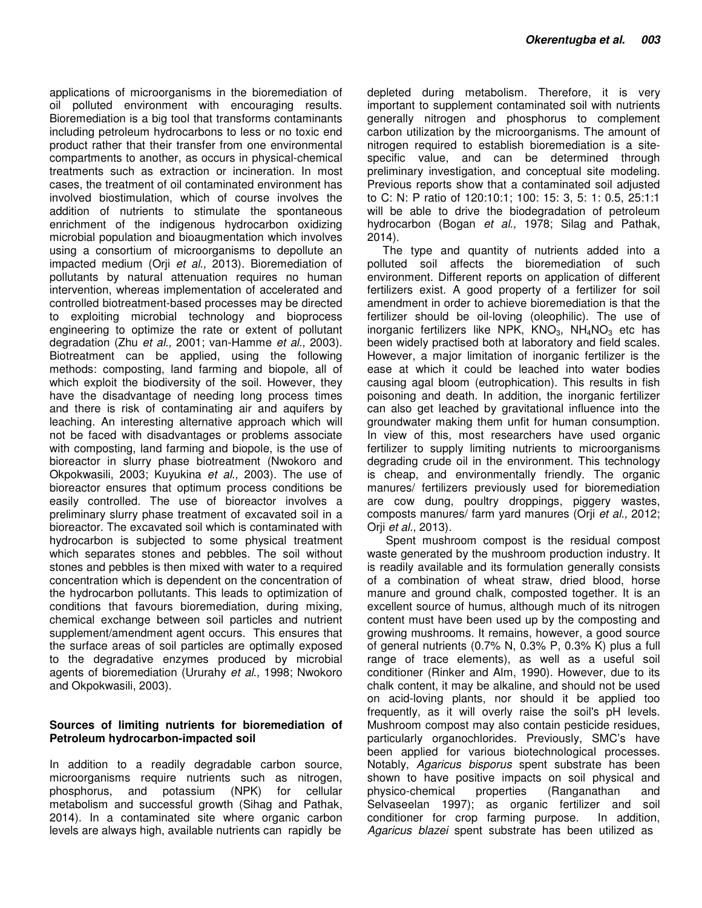applications of microorganisms in the bioremediation of oil polluted environment with encouraging results. Bioremediation is a big tool that transforms contaminants including petroleum hydrocarbons to less or no toxic end product rather that their transfer from one environmental compartments to another, as occurs in physical-chemical treatments such as extraction or incineration. In most cases, the treatment of oil contaminated environment has involved biostimulation, which of course involves the addition of nutrients to stimulate the spontaneous enrichment of the indigenous hydrocarbon oxidizing microbial population and bioaugmentation which involves using a consortium of microorganisms to depollute an impacted medium (Orji *et al.,* 2013). Bioremediation of pollutants by natural attenuation requires no human intervention, whereas implementation of accelerated and controlled biotreatment-based processes may be directed to exploiting microbial technology and bioprocess engineering to optimize the rate or extent of pollutant degradation (Zhu *et al.,* 2001; van-Hamme *et al.,* 2003). Biotreatment can be applied, using the following methods: composting, land farming and biopole, all of which exploit the biodiversity of the soil. However, they have the disadvantage of needing long process times and there is risk of contaminating air and aquifers by leaching. An interesting alternative approach which will not be faced with disadvantages or problems associate with composting, land farming and biopole, is the use of bioreactor in slurry phase biotreatment (Nwokoro and Okpokwasili, 2003; Kuyukina *et al.,* 2003). The use of bioreactor ensures that optimum process conditions be easily controlled. The use of bioreactor involves a preliminary slurry phase treatment of excavated soil in a bioreactor. The excavated soil which is contaminated with hydrocarbon is subjected to some physical treatment which separates stones and pebbles. The soil without stones and pebbles is then mixed with water to a required concentration which is dependent on the concentration of the hydrocarbon pollutants. This leads to optimization of conditions that favours bioremediation, during mixing, chemical exchange between soil particles and nutrient supplement/amendment agent occurs. This ensures that the surface areas of soil particles are optimally exposed to the degradative enzymes produced by microbial agents of bioremediation (Ururahy *et al.,* 1998; Nwokoro and Okpokwasili, 2003).

### **Sources of limiting nutrients for bioremediation of Petroleum hydrocarbon-impacted soil**

In addition to a readily degradable carbon source, microorganisms require nutrients such as nitrogen, phosphorus, and potassium (NPK) for cellular metabolism and successful growth (Sihag and Pathak, 2014). In a contaminated site where organic carbon levels are always high, available nutrients can rapidly be

depleted during metabolism. Therefore, it is very important to supplement contaminated soil with nutrients generally nitrogen and phosphorus to complement carbon utilization by the microorganisms. The amount of nitrogen required to establish bioremediation is a sitespecific value, and can be determined through preliminary investigation, and conceptual site modeling. Previous reports show that a contaminated soil adjusted to C: N: P ratio of 120:10:1; 100: 15: 3, 5: 1: 0.5, 25:1:1 will be able to drive the biodegradation of petroleum hydrocarbon (Bogan *et al.,* 1978; Silag and Pathak, 2014).

The type and quantity of nutrients added into a polluted soil affects the bioremediation of such environment. Different reports on application of different fertilizers exist. A good property of a fertilizer for soil amendment in order to achieve bioremediation is that the fertilizer should be oil-loving (oleophilic). The use of inorganic fertilizers like NPK,  $KNO<sub>3</sub>$ , NH<sub>4</sub>NO<sub>3</sub> etc has been widely practised both at laboratory and field scales. However, a major limitation of inorganic fertilizer is the ease at which it could be leached into water bodies causing agal bloom (eutrophication). This results in fish poisoning and death. In addition, the inorganic fertilizer can also get leached by gravitational influence into the groundwater making them unfit for human consumption. In view of this, most researchers have used organic fertilizer to supply limiting nutrients to microorganisms degrading crude oil in the environment. This technology is cheap, and environmentally friendly. The organic manures/ fertilizers previously used for bioremediation are cow dung, poultry droppings, piggery wastes, composts manures/ farm yard manures (Orji *et al.,* 2012; Orji *et al.,* 2013).

 Spent mushroom compost is the residual compost waste generated by the mushroom production industry. It is readily available and its formulation generally consists of a combination of wheat straw, dried blood, horse manure and ground chalk, composted together. It is an excellent source of humus, although much of its nitrogen content must have been used up by the composting and growing mushrooms. It remains, however, a good source of general nutrients (0.7% N, 0.3% P, 0.3% K) plus a full range of trace elements), as well as a useful soil conditioner (Rinker and Alm, 1990). However, due to its chalk content, it may be alkaline, and should not be used on acid-loving plants, nor should it be applied too frequently, as it will overly raise the soil's pH levels. Mushroom compost may also contain pesticide residues, particularly organochlorides. Previously, SMC's have been applied for various biotechnological processes. Notably, *Agaricus bisporus* spent substrate has been shown to have positive impacts on soil physical and physico-chemical properties (Ranganathan and Selvaseelan 1997); as organic fertilizer and soil conditioner for crop farming purpose. In addition, *Agaricus blazei* spent substrate has been utilized as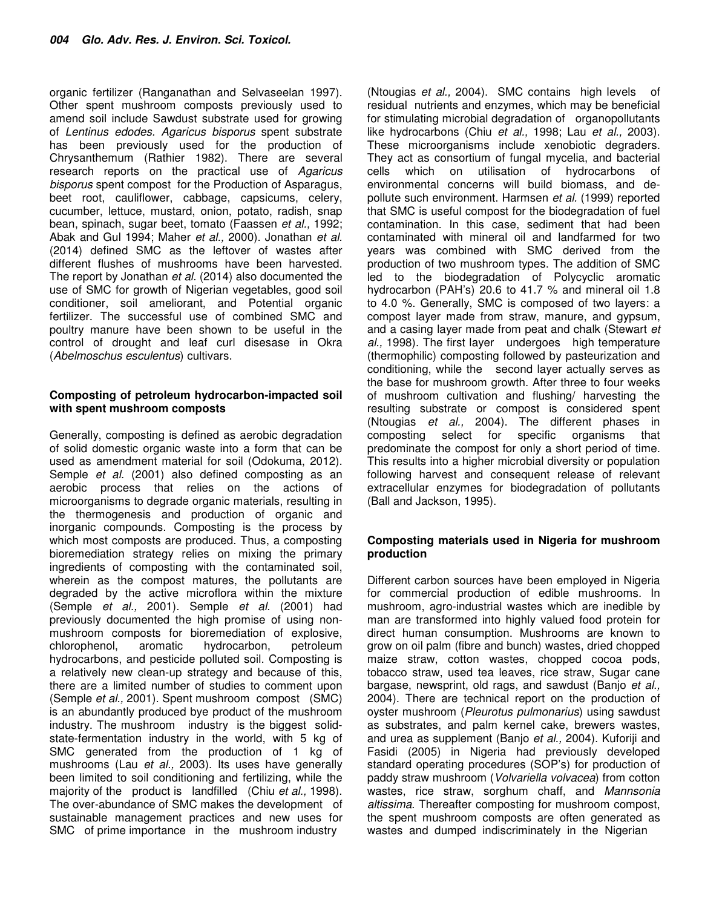organic fertilizer (Ranganathan and Selvaseelan 1997). Other spent mushroom composts previously used to amend soil include Sawdust substrate used for growing of *Lentinus edodes. Agaricus bisporus* spent substrate has been previously used for the production of Chrysanthemum (Rathier 1982). There are several research reports on the practical use of *Agaricus bisporus* spent compost for the Production of Asparagus, beet root, cauliflower, cabbage, capsicums, celery, cucumber, lettuce, mustard, onion, potato, radish, snap bean, spinach, sugar beet, tomato (Faassen *et al.,* 1992; Abak and Gul 1994; Maher *et al.,* 2000). Jonathan *et al.* (2014) defined SMC as the leftover of wastes after different flushes of mushrooms have been harvested. The report by Jonathan *et al.* (2014) also documented the use of SMC for growth of Nigerian vegetables, good soil conditioner, soil ameliorant, and Potential organic fertilizer. The successful use of combined SMC and poultry manure have been shown to be useful in the control of drought and leaf curl disesase in Okra (*Abelmoschus esculentus*) cultivars.

## **Composting of petroleum hydrocarbon-impacted soil with spent mushroom composts**

Generally, composting is defined as aerobic degradation of solid domestic organic waste into a form that can be used as amendment material for soil (Odokuma, 2012). Semple *et al.* (2001) also defined composting as an aerobic process that relies on the actions of microorganisms to degrade organic materials, resulting in the thermogenesis and production of organic and inorganic compounds. Composting is the process by which most composts are produced. Thus, a composting bioremediation strategy relies on mixing the primary ingredients of composting with the contaminated soil, wherein as the compost matures, the pollutants are degraded by the active microflora within the mixture (Semple *et al.,* 2001). Semple *et al.* (2001) had previously documented the high promise of using nonmushroom composts for bioremediation of explosive, chlorophenol, aromatic hydrocarbon, petroleum hydrocarbons, and pesticide polluted soil. Composting is a relatively new clean-up strategy and because of this, there are a limited number of studies to comment upon (Semple *et al.,* 2001). Spent mushroom compost (SMC) is an abundantly produced bye product of the mushroom industry. The mushroom industry is the biggest solidstate-fermentation industry in the world, with 5 kg of SMC generated from the production of 1 kg of mushrooms (Lau *et al.,* 2003). Its uses have generally been limited to soil conditioning and fertilizing, while the majority of the product is landfilled (Chiu *et al.,* 1998). The over-abundance of SMC makes the development of sustainable management practices and new uses for SMC of prime importance in the mushroom industry

(Ntougias *et al.,* 2004). SMC contains high levels of residual nutrients and enzymes, which may be beneficial for stimulating microbial degradation of organopollutants like hydrocarbons (Chiu *et al.,* 1998; Lau *et al.,* 2003). These microorganisms include xenobiotic degraders. They act as consortium of fungal mycelia, and bacterial cells which on utilisation of hydrocarbons of environmental concerns will build biomass, and depollute such environment. Harmsen *et al.* (1999) reported that SMC is useful compost for the biodegradation of fuel contamination. In this case, sediment that had been contaminated with mineral oil and landfarmed for two years was combined with SMC derived from the production of two mushroom types. The addition of SMC led to the biodegradation of Polycyclic aromatic hydrocarbon (PAH's) 20.6 to 41.7 % and mineral oil 1.8 to 4.0 %. Generally, SMC is composed of two layers: a compost layer made from straw, manure, and gypsum, and a casing layer made from peat and chalk (Stewart *et al.,* 1998). The first layer undergoes high temperature (thermophilic) composting followed by pasteurization and conditioning, while the second layer actually serves as the base for mushroom growth. After three to four weeks of mushroom cultivation and flushing/ harvesting the resulting substrate or compost is considered spent (Ntougias *et al.,* 2004). The different phases in composting select for specific organisms that predominate the compost for only a short period of time. This results into a higher microbial diversity or population following harvest and consequent release of relevant extracellular enzymes for biodegradation of pollutants (Ball and Jackson, 1995).

### **Composting materials used in Nigeria for mushroom production**

Different carbon sources have been employed in Nigeria for commercial production of edible mushrooms. In mushroom, agro-industrial wastes which are inedible by man are transformed into highly valued food protein for direct human consumption. Mushrooms are known to grow on oil palm (fibre and bunch) wastes, dried chopped maize straw, cotton wastes, chopped cocoa pods, tobacco straw, used tea leaves, rice straw, Sugar cane bargase, newsprint, old rags, and sawdust (Banjo *et al.,* 2004). There are technical report on the production of oyster mushroom (*Pleurotus pulmonarius*) using sawdust as substrates, and palm kernel cake, brewers wastes, and urea as supplement (Banjo *et al.,* 2004). Kuforiji and Fasidi (2005) in Nigeria had previously developed standard operating procedures (SOP's) for production of paddy straw mushroom (*Volvariella volvacea*) from cotton wastes, rice straw, sorghum chaff, and *Mannsonia altissima.* Thereafter composting for mushroom compost, the spent mushroom composts are often generated as wastes and dumped indiscriminately in the Nigerian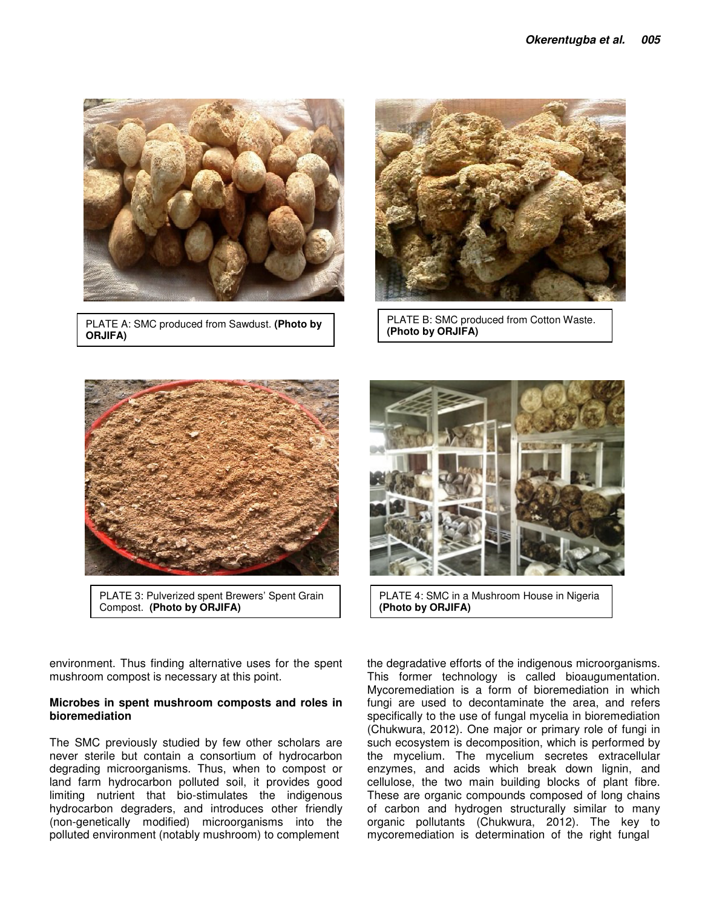

PLATE A: SMC produced from Sawdust. **(Photo by ORJIFA)**



PLATE B: SMC produced from Cotton Waste. **(Photo by ORJIFA)**



PLATE 3: Pulverized spent Brewers' Spent Grain Compost. **(Photo by ORJIFA)**

environment. Thus finding alternative uses for the spent mushroom compost is necessary at this point.

### **Microbes in spent mushroom composts and roles in bioremediation**

The SMC previously studied by few other scholars are never sterile but contain a consortium of hydrocarbon degrading microorganisms. Thus, when to compost or land farm hydrocarbon polluted soil, it provides good limiting nutrient that bio-stimulates the indigenous hydrocarbon degraders, and introduces other friendly (non-genetically modified) microorganisms into the polluted environment (notably mushroom) to complement



PLATE 4: SMC in a Mushroom House in Nigeria **(Photo by ORJIFA)**

the degradative efforts of the indigenous microorganisms. This former technology is called bioaugumentation. Mycoremediation is a form of bioremediation in which fungi are used to decontaminate the area, and refers specifically to the use of fungal mycelia in bioremediation (Chukwura, 2012). One major or primary role of fungi in such ecosystem is decomposition, which is performed by the mycelium. The mycelium secretes extracellular enzymes, and acids which break down lignin, and cellulose, the two main building blocks of plant fibre. These are organic compounds composed of long chains of carbon and hydrogen structurally similar to many organic pollutants (Chukwura, 2012). The key to mycoremediation is determination of the right fungal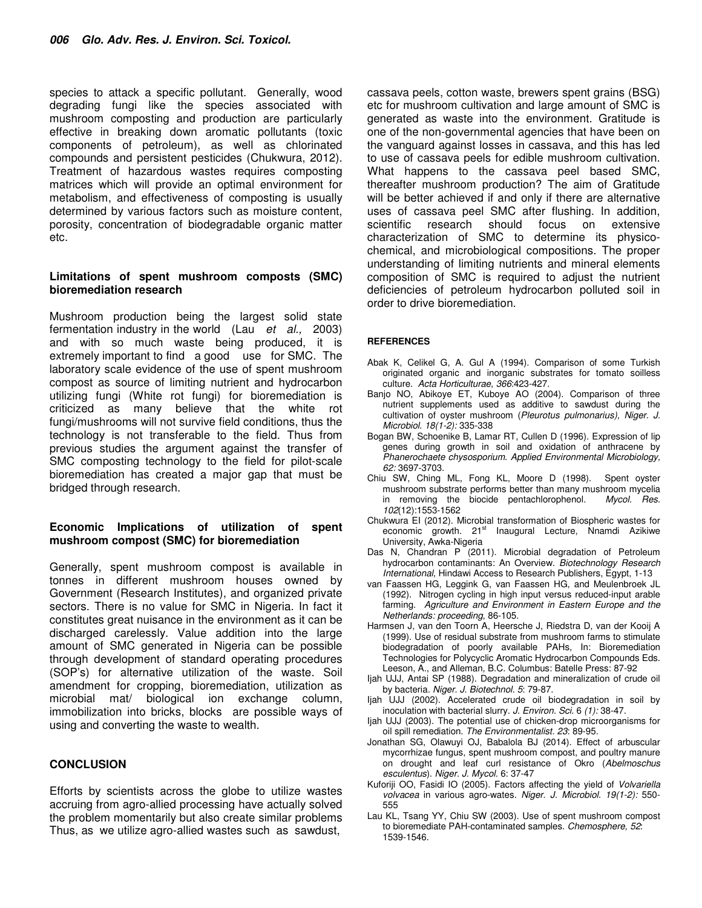species to attack a specific pollutant. Generally, wood degrading fungi like the species associated with mushroom composting and production are particularly effective in breaking down aromatic pollutants (toxic components of petroleum), as well as chlorinated compounds and persistent pesticides (Chukwura, 2012). Treatment of hazardous wastes requires composting matrices which will provide an optimal environment for metabolism, and effectiveness of composting is usually determined by various factors such as moisture content, porosity, concentration of biodegradable organic matter etc.

#### **Limitations of spent mushroom composts (SMC) bioremediation research**

Mushroom production being the largest solid state fermentation industry in the world (Lau *et al.,* 2003) and with so much waste being produced, it is extremely important to find a good use for SMC. The laboratory scale evidence of the use of spent mushroom compost as source of limiting nutrient and hydrocarbon utilizing fungi (White rot fungi) for bioremediation is criticized as many believe that the white rot fungi/mushrooms will not survive field conditions, thus the technology is not transferable to the field. Thus from previous studies the argument against the transfer of SMC composting technology to the field for pilot-scale bioremediation has created a major gap that must be bridged through research.

#### **Economic Implications of utilization of spent mushroom compost (SMC) for bioremediation**

Generally, spent mushroom compost is available in tonnes in different mushroom houses owned by Government (Research Institutes), and organized private sectors. There is no value for SMC in Nigeria. In fact it constitutes great nuisance in the environment as it can be discharged carelessly. Value addition into the large amount of SMC generated in Nigeria can be possible through development of standard operating procedures (SOP's) for alternative utilization of the waste. Soil amendment for cropping, bioremediation, utilization as microbial mat/ biological ion exchange column, immobilization into bricks, blocks are possible ways of using and converting the waste to wealth.

#### **CONCLUSION**

Efforts by scientists across the globe to utilize wastes accruing from agro-allied processing have actually solved the problem momentarily but also create similar problems Thus, as we utilize agro-allied wastes such as sawdust,

cassava peels, cotton waste, brewers spent grains (BSG) etc for mushroom cultivation and large amount of SMC is generated as waste into the environment. Gratitude is one of the non-governmental agencies that have been on the vanguard against losses in cassava, and this has led to use of cassava peels for edible mushroom cultivation. What happens to the cassava peel based SMC, thereafter mushroom production? The aim of Gratitude will be better achieved if and only if there are alternative uses of cassava peel SMC after flushing. In addition, scientific research should focus on extensive characterization of SMC to determine its physicochemical, and microbiological compositions. The proper understanding of limiting nutrients and mineral elements composition of SMC is required to adjust the nutrient deficiencies of petroleum hydrocarbon polluted soil in order to drive bioremediation.

#### **REFERENCES**

- Abak K, Celikel G, A. Gul A (1994). Comparison of some Turkish originated organic and inorganic substrates for tomato soilless culture. *Acta Horticulturae*, *366*:423-427.
- Banjo NO, Abikoye ET, Kuboye AO (2004). Comparison of three nutrient supplements used as additive to sawdust during the cultivation of oyster mushroom (*Pleurotus pulmonarius), Niger. J. Microbiol. 18(1-2):* 335-338
- Bogan BW, Schoenike B, Lamar RT, Cullen D (1996). Expression of lip genes during growth in soil and oxidation of anthracene by *Phanerochaete chysosporium*. *Applied Environmental Microbiology, 62:* 3697-3703.
- Chiu SW, Ching ML, Fong KL, Moore D (1998). Spent oyster mushroom substrate performs better than many mushroom mycelia in removing the biocide pentachlorophenol. *Mycol. Res. 102*(12):1553-1562
- Chukwura EI (2012). Microbial transformation of Biospheric wastes for economic growth. 21<sup>st</sup> Inaugural Lecture, Nnamdi Azikiwe University, Awka-Nigeria
- Das N, Chandran P (2011). Microbial degradation of Petroleum hydrocarbon contaminants: An Overview. *Biotechnology Research International*, Hindawi Access to Research Publishers, Egypt, 1-13
- van Faassen HG, Leggink G, van Faassen HG, and Meulenbroek JL (1992). Nitrogen cycling in high input versus reduced-input arable farming. *Agriculture and Environment in Eastern Europe and the Netherlands: proceeding*, 86-105.
- Harmsen J, van den Toorn A, Heersche J, Riedstra D, van der Kooij A (1999). Use of residual substrate from mushroom farms to stimulate biodegradation of poorly available PAHs, In: Bioremediation Technologies for Polycyclic Aromatic Hydrocarbon Compounds Eds. Leeson, A., and Alleman, B.C. Columbus: Batelle Press: 87-92
- Ijah UJJ, Antai SP (1988). Degradation and mineralization of crude oil by bacteria. *Niger. J. Biotechnol. 5*: 79-87.
- Ijah UJJ (2002). Accelerated crude oil biod*e*gradation in soil by inoculation with bacterial slurry. *J. Environ. Sci.* 6 *(1):* 38-47.
- Ijah UJJ (2003). The potential use of chicken-drop microorganisms for oil spill remediation. *The Environmentalist. 23*: 89-95.
- Jonathan SG, Olawuyi OJ, Babalola BJ (2014). Effect of arbuscular mycorrhizae fungus, spent mushroom compost, and poultry manure on drought and leaf curl resistance of Okro (*Abelmoschus esculentus*). *Niger. J. Mycol.* 6: 37-47
- Kuforiji OO, Fasidi IO (2005). Factors affecting the yield of *Volvariella volvacea* in various agro-wates. *Niger. J. Microbiol. 19(1-2):* 550- 555
- Lau KL, Tsang YY, Chiu SW (2003). Use of spent mushroom compost to bioremediate PAH-contaminated samples. *Chemosphere, 52*: 1539-1546.